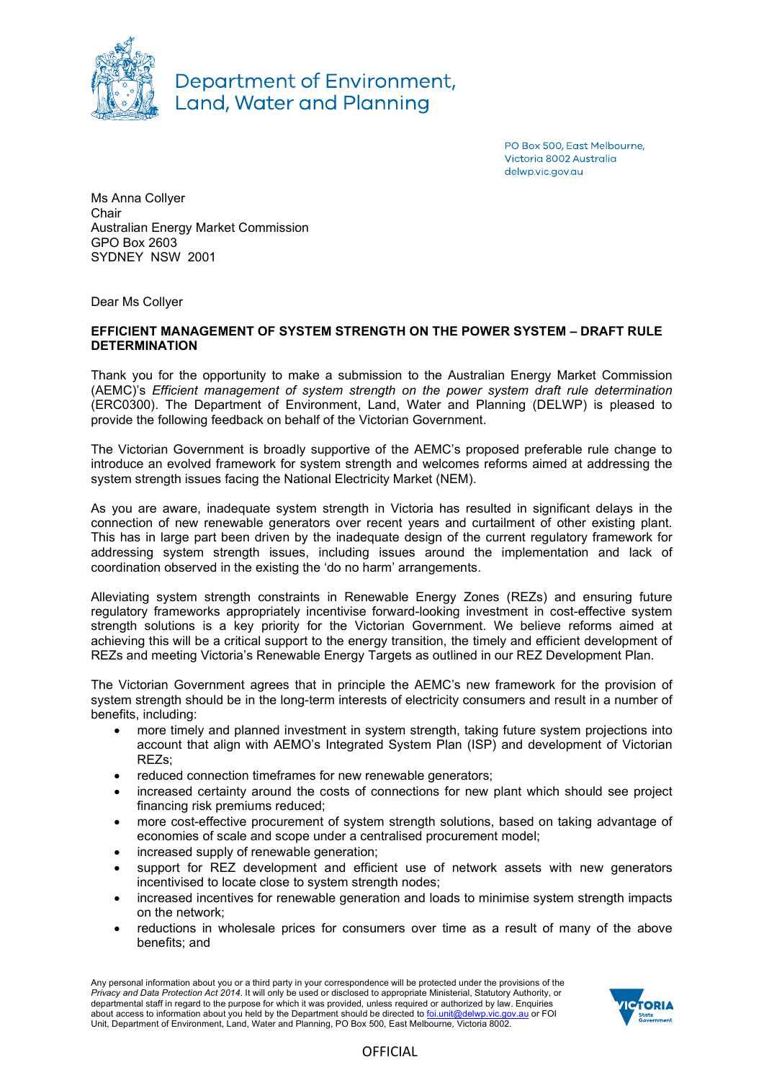

Department of Environment, Land, Water and Planning

> PO Box 500 East Melbourne Victoria 8002 Australia delwp.vic.gov.au

Ms Anna Collyer **Chair** Australian Energy Market Commission GPO Box 2603 SYDNEY NSW 2001

Dear Ms Collyer

## EFFICIENT MANAGEMENT OF SYSTEM STRENGTH ON THE POWER SYSTEM – DRAFT RULE **DETERMINATION**

Thank you for the opportunity to make a submission to the Australian Energy Market Commission (AEMC)'s Efficient management of system strength on the power system draft rule determination (ERC0300). The Department of Environment, Land, Water and Planning (DELWP) is pleased to provide the following feedback on behalf of the Victorian Government.

The Victorian Government is broadly supportive of the AEMC's proposed preferable rule change to introduce an evolved framework for system strength and welcomes reforms aimed at addressing the system strength issues facing the National Electricity Market (NEM).

As you are aware, inadequate system strength in Victoria has resulted in significant delays in the connection of new renewable generators over recent years and curtailment of other existing plant. This has in large part been driven by the inadequate design of the current regulatory framework for addressing system strength issues, including issues around the implementation and lack of coordination observed in the existing the 'do no harm' arrangements.

Alleviating system strength constraints in Renewable Energy Zones (REZs) and ensuring future regulatory frameworks appropriately incentivise forward-looking investment in cost-effective system strength solutions is a key priority for the Victorian Government. We believe reforms aimed at achieving this will be a critical support to the energy transition, the timely and efficient development of REZs and meeting Victoria's Renewable Energy Targets as outlined in our REZ Development Plan.

The Victorian Government agrees that in principle the AEMC's new framework for the provision of system strength should be in the long-term interests of electricity consumers and result in a number of benefits, including:

- more timely and planned investment in system strength, taking future system projections into account that align with AEMO's Integrated System Plan (ISP) and development of Victorian REZs;
- reduced connection timeframes for new renewable generators;
- increased certainty around the costs of connections for new plant which should see project financing risk premiums reduced;
- more cost-effective procurement of system strength solutions, based on taking advantage of economies of scale and scope under a centralised procurement model;
- increased supply of renewable generation:
- support for REZ development and efficient use of network assets with new generators incentivised to locate close to system strength nodes;
- increased incentives for renewable generation and loads to minimise system strength impacts on the network;
- reductions in wholesale prices for consumers over time as a result of many of the above benefits; and

Any personal information about you or a third party in your correspondence will be protected under the provisions of the Privacy and Data Protection Act 2014. It will only be used or disclosed to appropriate Ministerial, Statutory Authority, or departmental staff in regard to the purpose for which it was provided, unless required or authorized by law. Enquiries about access to information about you held by the Department should be directed to foi.unit@delwp.vic.gov.au or FOI Unit, Department of Environment, Land, Water and Planning, PO Box 500, East Melbourne, Victoria 8002.